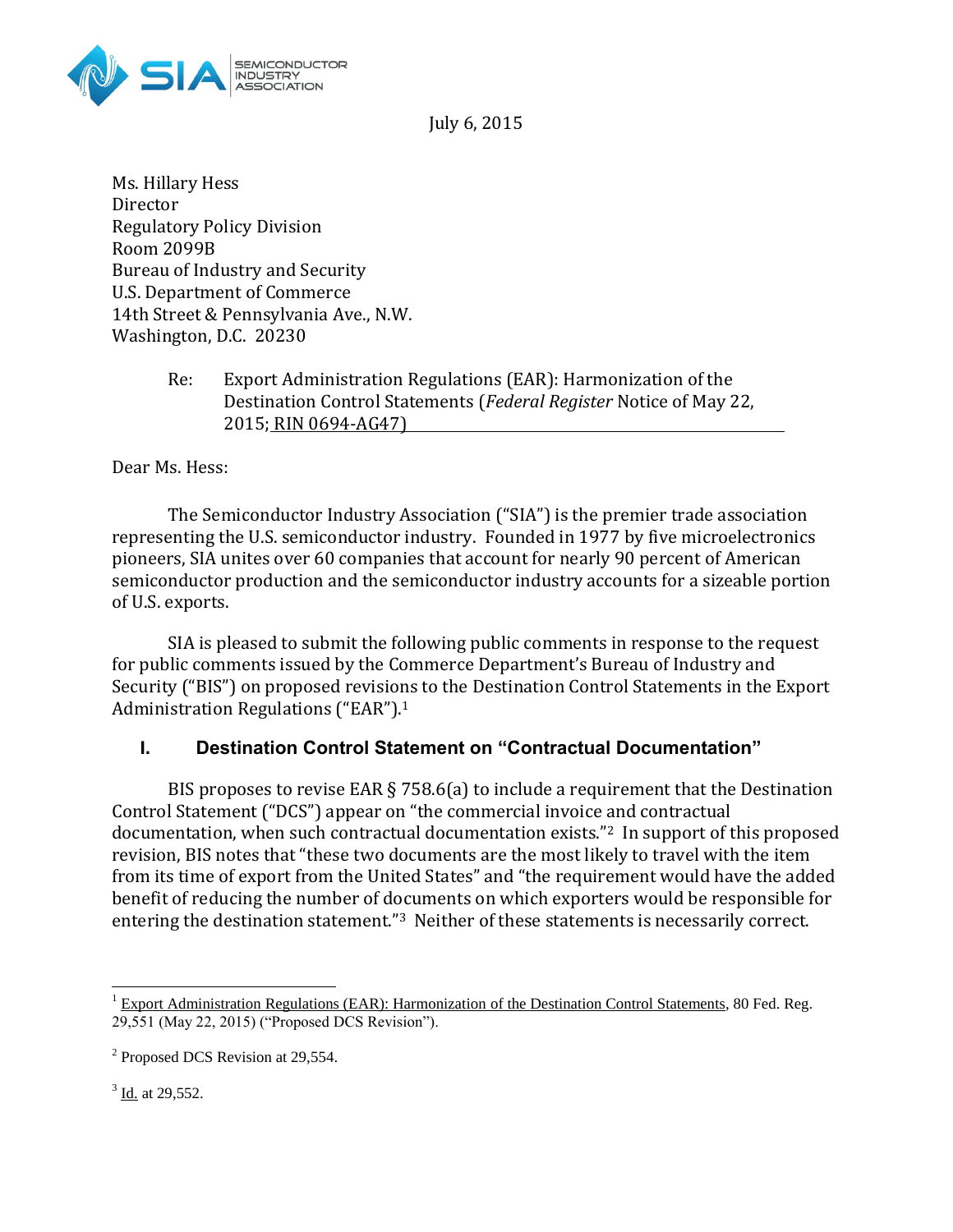

July 6, 2015

Ms. Hillary Hess Director Regulatory Policy Division Room 2099B Bureau of Industry and Security U.S. Department of Commerce 14th Street & Pennsylvania Ave., N.W. Washington, D.C. 20230

> Re: Export Administration Regulations (EAR): Harmonization of the Destination Control Statements (*Federal Register* Notice of May 22, 2015; RIN 0694-AG47)

Dear Ms. Hess:

The Semiconductor Industry Association ("SIA") is the premier trade association representing the U.S. semiconductor industry. Founded in 1977 by five microelectronics pioneers, SIA unites over 60 companies that account for nearly 90 percent of American semiconductor production and the semiconductor industry accounts for a sizeable portion of U.S. exports.

SIA is pleased to submit the following public comments in response to the request for public comments issued by the Commerce Department's Bureau of Industry and Security ("BIS") on proposed revisions to the Destination Control Statements in the Export Administration Regulations ("EAR").<sup>1</sup>

## **I. Destination Control Statement on "Contractual Documentation"**

BIS proposes to revise EAR § 758.6(a) to include a requirement that the Destination Control Statement ("DCS") appear on "the commercial invoice and contractual documentation, when such contractual documentation exists."2 In support of this proposed revision, BIS notes that "these two documents are the most likely to travel with the item from its time of export from the United States" and "the requirement would have the added benefit of reducing the number of documents on which exporters would be responsible for entering the destination statement."<sup>3</sup> Neither of these statements is necessarily correct.

 $3$  <u>Id.</u> at 29,552.

 $\overline{a}$ 

 $1$  Export Administration Regulations (EAR): Harmonization of the Destination Control Statements, 80 Fed. Reg. 29,551 (May 22, 2015) ("Proposed DCS Revision").

<sup>&</sup>lt;sup>2</sup> Proposed DCS Revision at 29,554.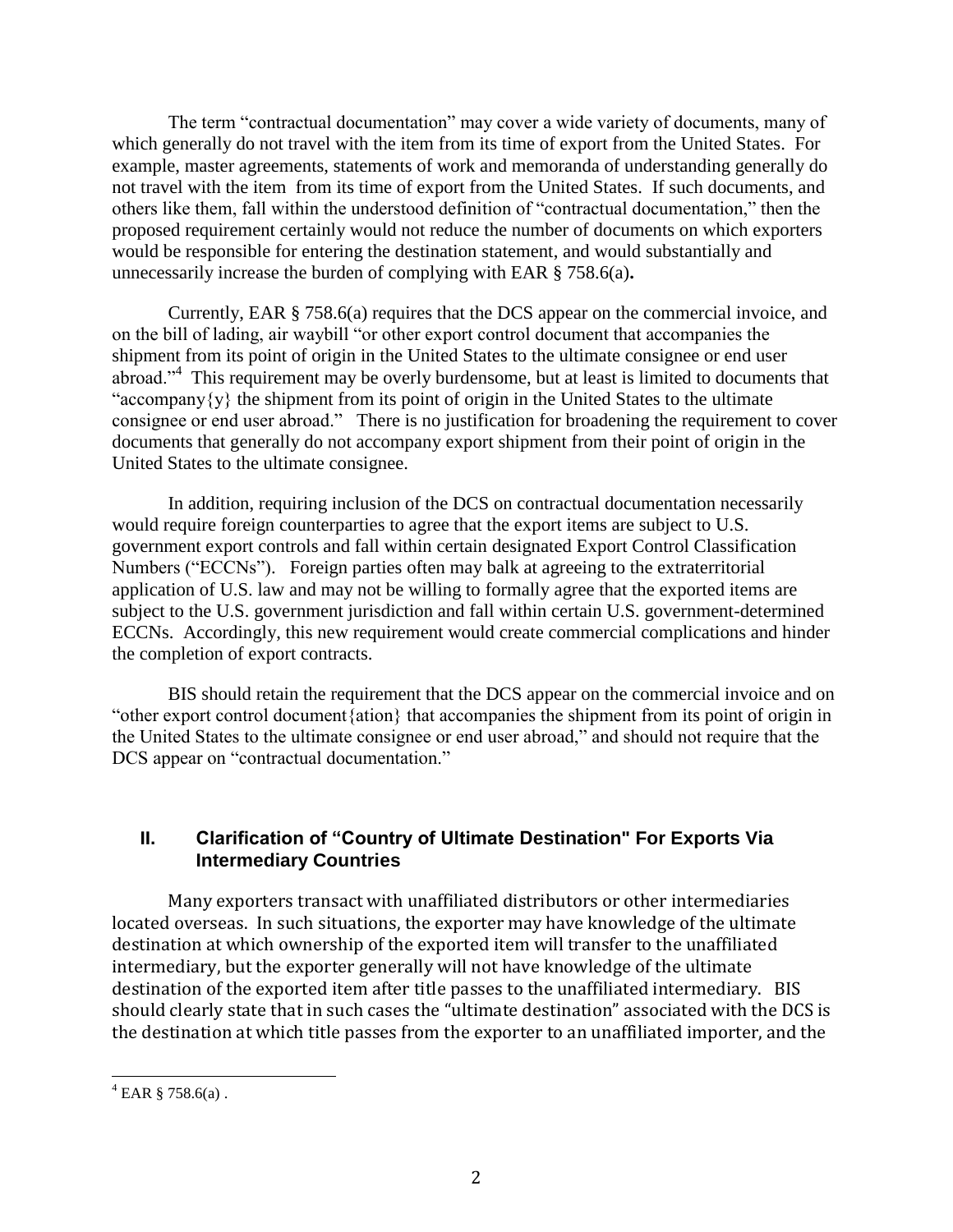The term "contractual documentation" may cover a wide variety of documents, many of which generally do not travel with the item from its time of export from the United States. For example, master agreements, statements of work and memoranda of understanding generally do not travel with the item from its time of export from the United States. If such documents, and others like them, fall within the understood definition of "contractual documentation," then the proposed requirement certainly would not reduce the number of documents on which exporters would be responsible for entering the destination statement, and would substantially and unnecessarily increase the burden of complying with EAR § 758.6(a)**.**

Currently, EAR § 758.6(a) requires that the DCS appear on the commercial invoice, and on the bill of lading, air waybill "or other export control document that accompanies the shipment from its point of origin in the United States to the ultimate consignee or end user abroad."<sup>4</sup> This requirement may be overly burdensome, but at least is limited to documents that "accompany $\{y\}$  the shipment from its point of origin in the United States to the ultimate consignee or end user abroad." There is no justification for broadening the requirement to cover documents that generally do not accompany export shipment from their point of origin in the United States to the ultimate consignee.

In addition, requiring inclusion of the DCS on contractual documentation necessarily would require foreign counterparties to agree that the export items are subject to U.S. government export controls and fall within certain designated Export Control Classification Numbers ("ECCNs"). Foreign parties often may balk at agreeing to the extraterritorial application of U.S. law and may not be willing to formally agree that the exported items are subject to the U.S. government jurisdiction and fall within certain U.S. government-determined ECCNs. Accordingly, this new requirement would create commercial complications and hinder the completion of export contracts.

BIS should retain the requirement that the DCS appear on the commercial invoice and on "other export control document{ation} that accompanies the shipment from its point of origin in the United States to the ultimate consignee or end user abroad," and should not require that the DCS appear on "contractual documentation."

## **II. Clarification of "Country of Ultimate Destination" For Exports Via Intermediary Countries**

Many exporters transact with unaffiliated distributors or other intermediaries located overseas. In such situations, the exporter may have knowledge of the ultimate destination at which ownership of the exported item will transfer to the unaffiliated intermediary, but the exporter generally will not have knowledge of the ultimate destination of the exported item after title passes to the unaffiliated intermediary. BIS should clearly state that in such cases the "ultimate destination" associated with the DCS is the destination at which title passes from the exporter to an unaffiliated importer, and the

 $4$  EAR § 758.6(a).